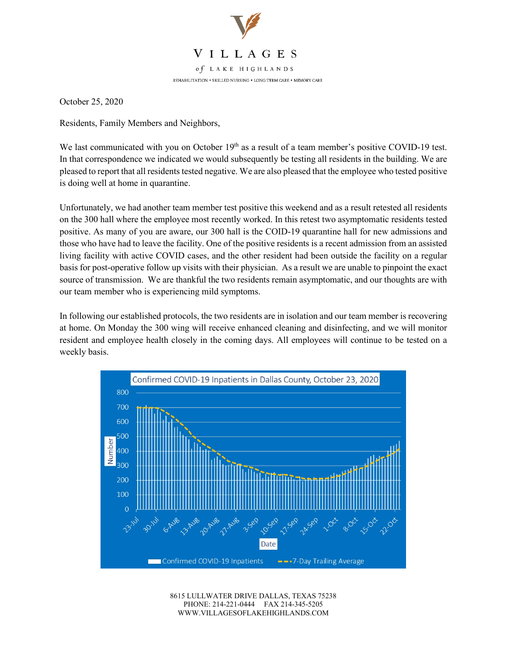

October 25, 2020

Residents, Family Members and Neighbors,

We last communicated with you on October  $19<sup>th</sup>$  as a result of a team member's positive COVID-19 test. In that correspondence we indicated we would subsequently be testing all residents in the building. We are pleased to report that all residents tested negative. We are also pleased that the employee who tested positive is doing well at home in quarantine.

Unfortunately, we had another team member test positive this weekend and as a result retested all residents on the 300 hall where the employee most recently worked. In this retest two asymptomatic residents tested positive. As many of you are aware, our 300 hall is the COID-19 quarantine hall for new admissions and those who have had to leave the facility. One of the positive residents is a recent admission from an assisted living facility with active COVID cases, and the other resident had been outside the facility on a regular basis for post-operative follow up visits with their physician. As a result we are unable to pinpoint the exact source of transmission. We are thankful the two residents remain asymptomatic, and our thoughts are with our team member who is experiencing mild symptoms.

In following our established protocols, the two residents are in isolation and our team member is recovering at home. On Monday the 300 wing will receive enhanced cleaning and disinfecting, and we will monitor resident and employee health closely in the coming days. All employees will continue to be tested on a weekly basis.